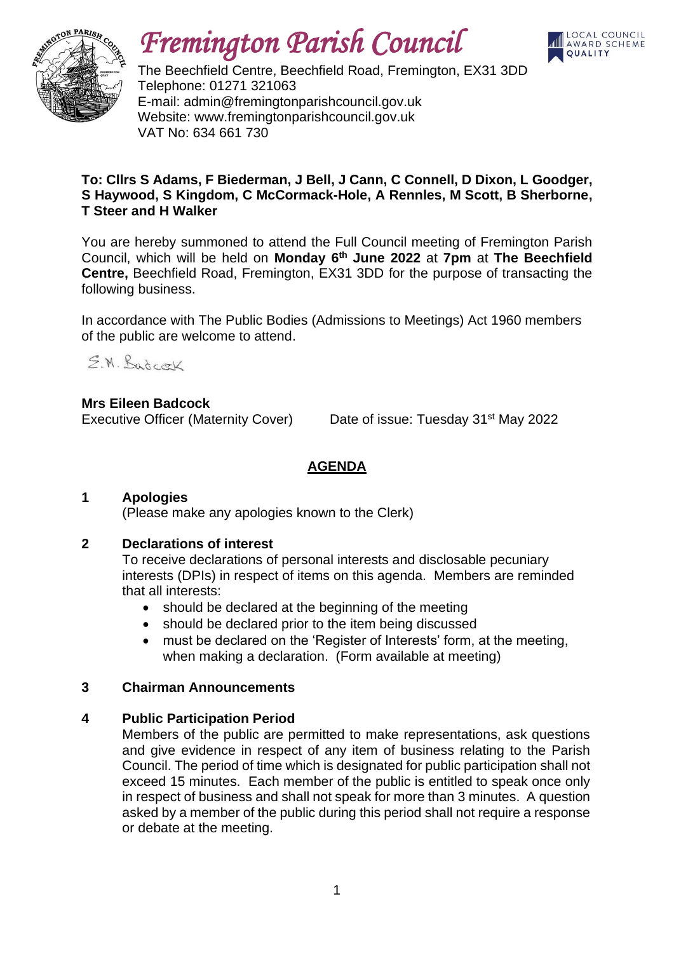

# *Fremington Parish Council*



The Beechfield Centre, Beechfield Road, Fremington, EX31 3DD Telephone: 01271 321063 E-mail: admin@fremingtonparishcouncil.gov.uk Website: www.fremingtonparishcouncil.gov.uk VAT No: 634 661 730

#### **To: Cllrs S Adams, F Biederman, J Bell, J Cann, C Connell, D Dixon, L Goodger, S Haywood, S Kingdom, C McCormack-Hole, A Rennles, M Scott, B Sherborne, T Steer and H Walker**

You are hereby summoned to attend the Full Council meeting of Fremington Parish Council, which will be held on **Monday 6 th June 2022** at **7pm** at **The Beechfield Centre,** Beechfield Road, Fremington, EX31 3DD for the purpose of transacting the following business.

In accordance with The Public Bodies (Admissions to Meetings) Act 1960 members of the public are welcome to attend.

E.M. Badcock

## **Mrs Eileen Badcock**

Executive Officer (Maternity Cover) Date of issue: Tuesday 31<sup>st</sup> May 2022

### **AGENDA**

#### **1 Apologies**

(Please make any apologies known to the Clerk)

#### **2 Declarations of interest**

To receive declarations of personal interests and disclosable pecuniary interests (DPIs) in respect of items on this agenda. Members are reminded that all interests:

- should be declared at the beginning of the meeting
- should be declared prior to the item being discussed
- must be declared on the 'Register of Interests' form, at the meeting, when making a declaration. (Form available at meeting)

#### **3 Chairman Announcements**

#### **4 Public Participation Period**

Members of the public are permitted to make representations, ask questions and give evidence in respect of any item of business relating to the Parish Council. The period of time which is designated for public participation shall not exceed 15 minutes. Each member of the public is entitled to speak once only in respect of business and shall not speak for more than 3 minutes. A question asked by a member of the public during this period shall not require a response or debate at the meeting.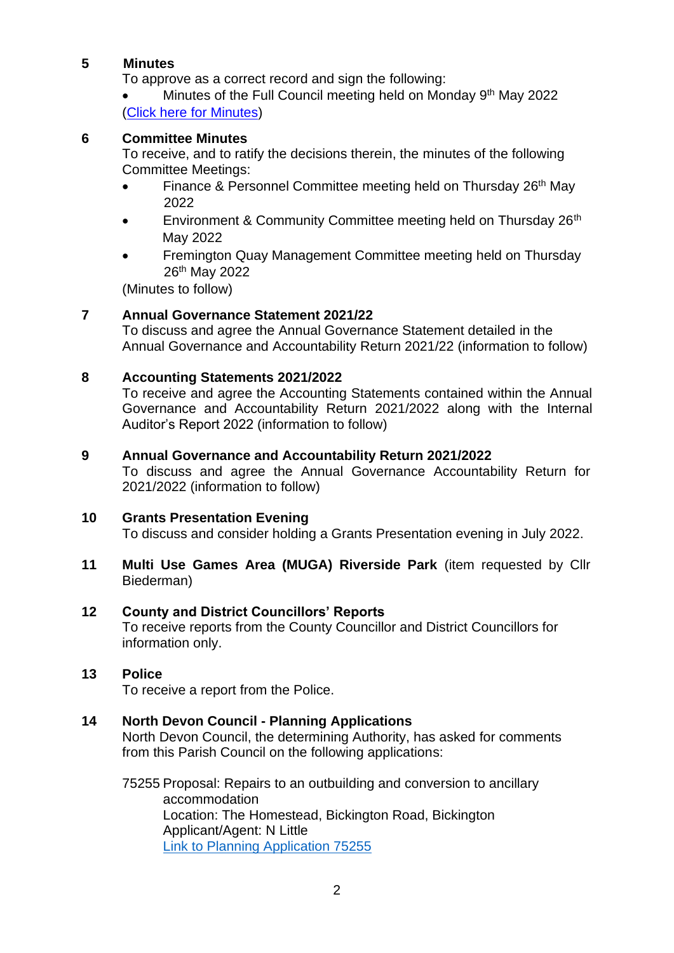#### **5 Minutes**

To approve as a correct record and sign the following:

• Minutes of the Full Council meeting held on Monday 9<sup>th</sup> May 2022 [\(Click here for Minutes\)](https://www.fremingtonparishcouncil.gov.uk/meetings.php)

#### **6 Committee Minutes**

To receive, and to ratify the decisions therein, the minutes of the following Committee Meetings:

- Finance & Personnel Committee meeting held on Thursday  $26<sup>th</sup>$  May 2022
- Environment & Community Committee meeting held on Thursday 26<sup>th</sup> May 2022
- Fremington Quay Management Committee meeting held on Thursday 26th May 2022

(Minutes to follow)

#### **7 Annual Governance Statement 2021/22**

To discuss and agree the Annual Governance Statement detailed in the Annual Governance and Accountability Return 2021/22 (information to follow)

#### **8 Accounting Statements 2021/2022**

To receive and agree the Accounting Statements contained within the Annual Governance and Accountability Return 2021/2022 along with the Internal Auditor's Report 2022 (information to follow)

#### **9 Annual Governance and Accountability Return 2021/2022**

To discuss and agree the Annual Governance Accountability Return for 2021/2022 (information to follow)

#### **10 Grants Presentation Evening**

To discuss and consider holding a Grants Presentation evening in July 2022.

**11 Multi Use Games Area (MUGA) Riverside Park** (item requested by Cllr Biederman)

#### **12 County and District Councillors' Reports**

To receive reports from the County Councillor and District Councillors for information only.

#### **13 Police**

To receive a report from the Police.

#### **14 North Devon Council - Planning Applications**

North Devon Council, the determining Authority, has asked for comments from this Parish Council on the following applications:

75255 Proposal: Repairs to an outbuilding and conversion to ancillary accommodation Location: The Homestead, Bickington Road, Bickington Applicant/Agent: N Little [Link to Planning Application 75255](https://planning.northdevon.gov.uk/Planning/Display/75255)